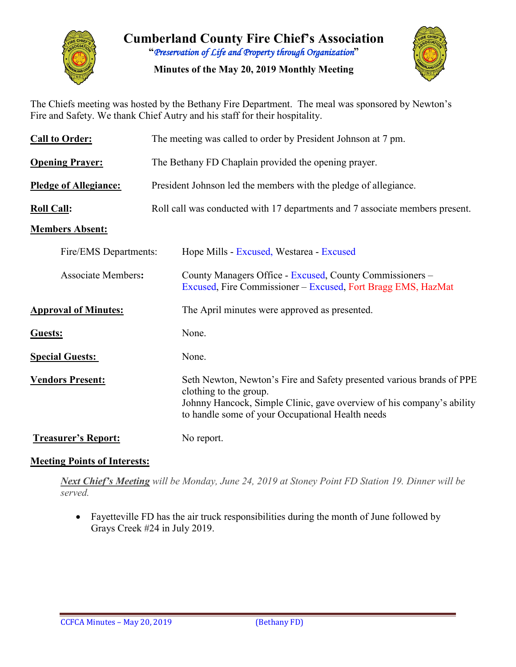

**Cumberland County Fire Chief's Association "***Preservation of Life and Property through Organization***"**

**Minutes of the May 20, 2019 Monthly Meeting**



The Chiefs meeting was hosted by the Bethany Fire Department. The meal was sponsored by Newton's Fire and Safety. We thank Chief Autry and his staff for their hospitality.

| <b>Call to Order:</b>        | The meeting was called to order by President Johnson at 7 pm.                                                                                                                                                                |  |  |  |  |  |  |  |  |
|------------------------------|------------------------------------------------------------------------------------------------------------------------------------------------------------------------------------------------------------------------------|--|--|--|--|--|--|--|--|
| <b>Opening Prayer:</b>       | The Bethany FD Chaplain provided the opening prayer.                                                                                                                                                                         |  |  |  |  |  |  |  |  |
| <b>Pledge of Allegiance:</b> | President Johnson led the members with the pledge of allegiance.                                                                                                                                                             |  |  |  |  |  |  |  |  |
| <b>Roll Call:</b>            | Roll call was conducted with 17 departments and 7 associate members present.                                                                                                                                                 |  |  |  |  |  |  |  |  |
| <b>Members Absent:</b>       |                                                                                                                                                                                                                              |  |  |  |  |  |  |  |  |
| Fire/EMS Departments:        | Hope Mills - Excused, Westarea - Excused                                                                                                                                                                                     |  |  |  |  |  |  |  |  |
| <b>Associate Members:</b>    | County Managers Office - Excused, County Commissioners –<br>Excused, Fire Commissioner – Excused, Fort Bragg EMS, HazMat                                                                                                     |  |  |  |  |  |  |  |  |
| <b>Approval of Minutes:</b>  | The April minutes were approved as presented.                                                                                                                                                                                |  |  |  |  |  |  |  |  |
| Guests:                      | None.                                                                                                                                                                                                                        |  |  |  |  |  |  |  |  |
| <b>Special Guests:</b>       | None.                                                                                                                                                                                                                        |  |  |  |  |  |  |  |  |
| <b>Vendors Present:</b>      | Seth Newton, Newton's Fire and Safety presented various brands of PPE<br>clothing to the group.<br>Johnny Hancock, Simple Clinic, gave overview of his company's ability<br>to handle some of your Occupational Health needs |  |  |  |  |  |  |  |  |
| <b>Treasurer's Report:</b>   | No report.                                                                                                                                                                                                                   |  |  |  |  |  |  |  |  |

### **Meeting Points of Interests:**

*Next Chief's Meeting will be Monday, June 24, 2019 at Stoney Point FD Station 19. Dinner will be served.*

• Fayetteville FD has the air truck responsibilities during the month of June followed by Grays Creek #24 in July 2019.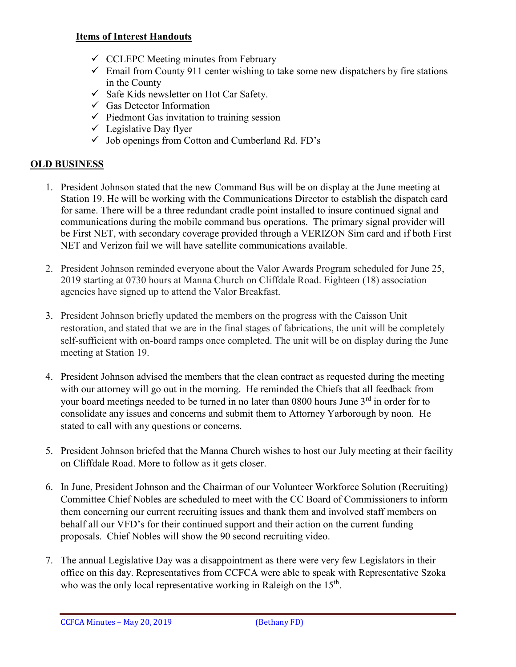#### **Items of Interest Handouts**

- $\checkmark$  CCLEPC Meeting minutes from February
- $\checkmark$  Email from County 911 center wishing to take some new dispatchers by fire stations in the County
- $\checkmark$  Safe Kids newsletter on Hot Car Safety.
- $\checkmark$  Gas Detector Information
- $\checkmark$  Piedmont Gas invitation to training session
- $\checkmark$  Legislative Day flyer
- $\checkmark$  Job openings from Cotton and Cumberland Rd. FD's

# **OLD BUSINESS**

- 1. President Johnson stated that the new Command Bus will be on display at the June meeting at Station 19. He will be working with the Communications Director to establish the dispatch card for same. There will be a three redundant cradle point installed to insure continued signal and communications during the mobile command bus operations. The primary signal provider will be First NET, with secondary coverage provided through a VERIZON Sim card and if both First NET and Verizon fail we will have satellite communications available.
- 2. President Johnson reminded everyone about the Valor Awards Program scheduled for June 25, 2019 starting at 0730 hours at Manna Church on Cliffdale Road. Eighteen (18) association agencies have signed up to attend the Valor Breakfast.
- 3. President Johnson briefly updated the members on the progress with the Caisson Unit restoration, and stated that we are in the final stages of fabrications, the unit will be completely self-sufficient with on-board ramps once completed. The unit will be on display during the June meeting at Station 19.
- 4. President Johnson advised the members that the clean contract as requested during the meeting with our attorney will go out in the morning. He reminded the Chiefs that all feedback from your board meetings needed to be turned in no later than 0800 hours June 3<sup>rd</sup> in order for to consolidate any issues and concerns and submit them to Attorney Yarborough by noon. He stated to call with any questions or concerns.
- 5. President Johnson briefed that the Manna Church wishes to host our July meeting at their facility on Cliffdale Road. More to follow as it gets closer.
- 6. In June, President Johnson and the Chairman of our Volunteer Workforce Solution (Recruiting) Committee Chief Nobles are scheduled to meet with the CC Board of Commissioners to inform them concerning our current recruiting issues and thank them and involved staff members on behalf all our VFD's for their continued support and their action on the current funding proposals. Chief Nobles will show the 90 second recruiting video.
- 7. The annual Legislative Day was a disappointment as there were very few Legislators in their office on this day. Representatives from CCFCA were able to speak with Representative Szoka who was the only local representative working in Raleigh on the 15<sup>th</sup>.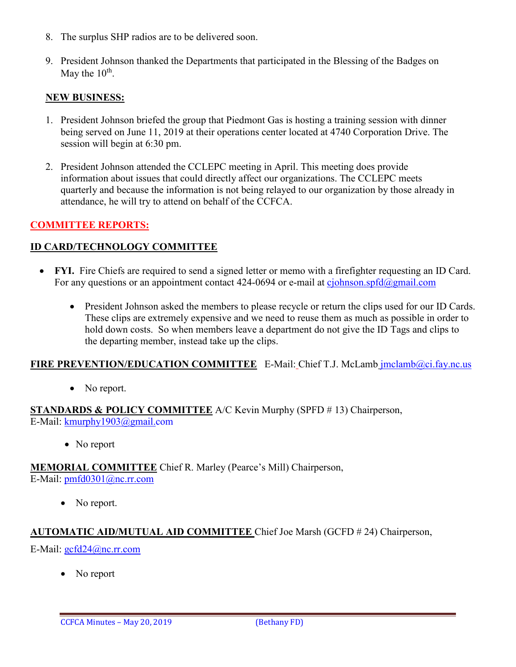- 8. The surplus SHP radios are to be delivered soon.
- 9. President Johnson thanked the Departments that participated in the Blessing of the Badges on May the  $10^{th}$ .

### **NEW BUSINESS:**

- 1. President Johnson briefed the group that Piedmont Gas is hosting a training session with dinner being served on June 11, 2019 at their operations center located at 4740 Corporation Drive. The session will begin at 6:30 pm.
- 2. President Johnson attended the CCLEPC meeting in April. This meeting does provide information about issues that could directly affect our organizations. The CCLEPC meets quarterly and because the information is not being relayed to our organization by those already in attendance, he will try to attend on behalf of the CCFCA.

# **COMMITTEE REPORTS:**

### **ID CARD/TECHNOLOGY COMMITTEE**

- **FYI.** Fire Chiefs are required to send a signed letter or memo with a firefighter requesting an ID Card. For any questions or an appointment contact 424-0694 or e-mail at  $c$ *johnson.spfd* $@g$ *mail.com* 
	- President Johnson asked the members to please recycle or return the clips used for our ID Cards. These clips are extremely expensive and we need to reuse them as much as possible in order to hold down costs. So when members leave a department do not give the ID Tags and clips to the departing member, instead take up the clips.

#### FIRE PREVENTION/EDUCATION COMMITTEE E-Mail: Chief T.J. McLamb [jmclamb@ci.fay.nc.us](mailto:jmclamb@ci.fay.nc.us)

• No report.

**STANDARDS & POLICY COMMITTEE** A/C Kevin Murphy (SPFD # 13) Chairperson, E-Mail: [kmurphy1903@gmail.com](mailto:kmurphy1903@gmail.com)

• No report

**MEMORIAL COMMITTEE** Chief R. Marley (Pearce's Mill) Chairperson, E-Mail: [pmfd0301@nc.rr.com](mailto:pmfd0301@nc.rr.com)

• No report.

### **AUTOMATIC AID/MUTUAL AID COMMITTEE** Chief Joe Marsh (GCFD # 24) Chairperson,

E-Mail: [gcfd24@nc.rr.com](mailto:gcfd24@nc.rr.com)

• No report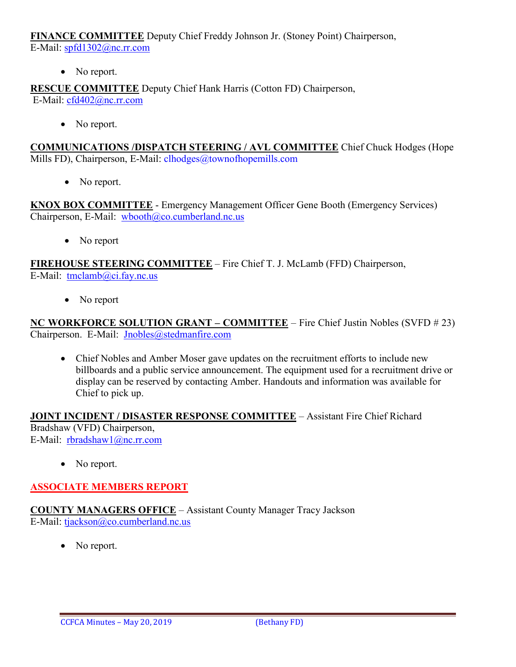**FINANCE COMMITTEE** Deputy Chief Freddy Johnson Jr. (Stoney Point) Chairperson,

E-Mail: [spfd1302@nc.rr.com](mailto:spfd1302@nc.rr.com)

• No report.

**RESCUE COMMITTEE** Deputy Chief Hank Harris (Cotton FD) Chairperson, E-Mail: [cfd402@nc.rr.com](mailto:cfd402@nc.rr.com)

• No report.

**COMMUNICATIONS /DISPATCH STEERING / AVL COMMITTEE** Chief Chuck Hodges (Hope Mills FD), Chairperson, E-Mail: clhodges@townofhopemills.com

• No report.

**KNOX BOX COMMITTEE** - Emergency Management Officer Gene Booth (Emergency Services) Chairperson, E-Mail: [wbooth@co.cumberland.nc.us](mailto:wbooth@co.cumberland.nc.us)

• No report

**FIREHOUSE STEERING COMMITTEE** – Fire Chief T. J. McLamb (FFD) Chairperson, E-Mail: [tmclamb@ci.fay.nc.us](mailto:tmclamb@ci.fay.nc.us)

• No report

**NC WORKFORCE SOLUTION GRANT – COMMITTEE** – Fire Chief Justin Nobles (SVFD # 23) Chairperson. E-Mail: [Jnobles@stedmanfire.com](mailto:Jnobles@stedmanfire.com)

• Chief Nobles and Amber Moser gave updates on the recruitment efforts to include new billboards and a public service announcement. The equipment used for a recruitment drive or display can be reserved by contacting Amber. Handouts and information was available for Chief to pick up.

**JOINT INCIDENT / DISASTER RESPONSE COMMITTEE** – Assistant Fire Chief Richard Bradshaw (VFD) Chairperson, E-Mail: [rbradshaw1@nc.rr.com](mailto:rbradshaw1@nc.rr.com)

• No report.

### **ASSOCIATE MEMBERS REPORT**

**COUNTY MANAGERS OFFICE** – Assistant County Manager Tracy Jackson E-Mail: [tjackson@co.cumberland.nc.us](mailto:tjackson@co.cumberland.nc.us)

No report.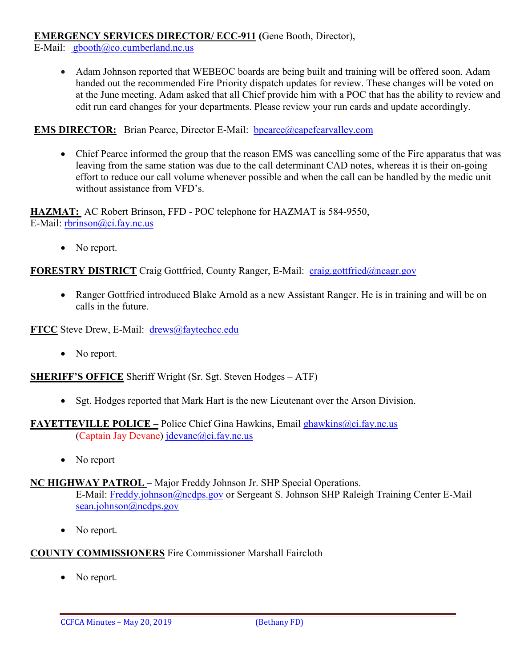## **EMERGENCY SERVICES DIRECTOR/ ECC-911 (**Gene Booth, Director),

E-Mail: [gbooth@co.cumberland.nc.us](mailto:gbooth@co.cumberland.nc.us)

• Adam Johnson reported that WEBEOC boards are being built and training will be offered soon. Adam handed out the recommended Fire Priority dispatch updates for review. These changes will be voted on at the June meeting. Adam asked that all Chief provide him with a POC that has the ability to review and edit run card changes for your departments. Please review your run cards and update accordingly.

# **EMS DIRECTOR:** Brian Pearce, Director E-Mail: bpearce@capefearvalley.com

• Chief Pearce informed the group that the reason EMS was cancelling some of the Fire apparatus that was leaving from the same station was due to the call determinant CAD notes, whereas it is their on-going effort to reduce our call volume whenever possible and when the call can be handled by the medic unit without assistance from VFD's.

**HAZMAT:** AC Robert Brinson, FFD - POC telephone for HAZMAT is 584-9550, E-Mail: [rbrinson@ci.fay.nc.us](mailto:rbrinson@ci.fay.nc.us)

• No report.

# **FORESTRY DISTRICT** Craig Gottfried, County Ranger, E-Mail: [craig.gottfried@ncagr.gov](mailto:craig.gottfried@ncagr.gov)

• Ranger Gottfried introduced Blake Arnold as a new Assistant Ranger. He is in training and will be on calls in the future.

**FTCC** Steve Drew, E-Mail: [drews@faytechcc.edu](mailto:drews@faytechcc.edu)

• No report.

**SHERIFF'S OFFICE** Sheriff Wright (Sr. Sgt. Steven Hodges – ATF)

- Sgt. Hodges reported that Mark Hart is the new Lieutenant over the Arson Division.
- **FAYETTEVILLE POLICE –** Police Chief Gina Hawkins, Email ghawkins@ci.fay.nc.us (Captain Jay Devane) [jdevane@ci.fay.nc.us](mailto:jdevane@ci.fay.nc.us)
	- No report

### **NC HIGHWAY PATROL** – Major Freddy Johnson Jr. SHP Special Operations.

E-Mail: [Freddy.johnson@ncdps.gov](mailto:Freddy.johnson@ncdps.gov) or Sergeant S. Johnson SHP Raleigh Training Center E-Mail [sean.johnson@ncdps.gov](mailto:sean.johnson@ncdps.gov)

• No report.

# **COUNTY COMMISSIONERS** Fire Commissioner Marshall Faircloth

• No report.

CCFCA Minutes – May 20, 2019 (Bethany FD)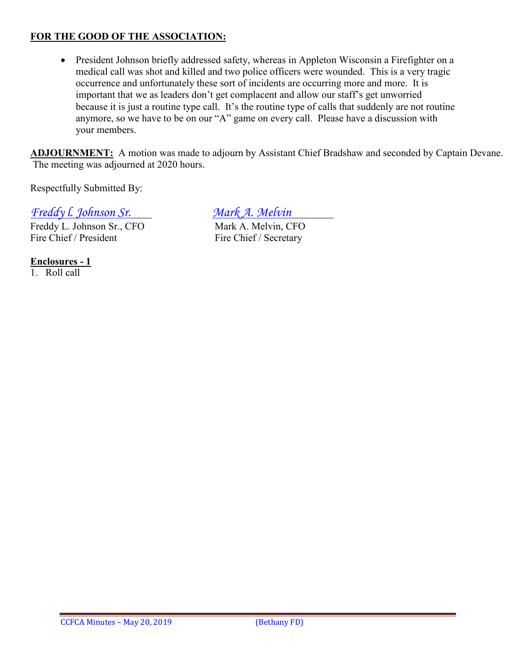# **FOR THE GOOD OF THE ASSOCIATION:**

• President Johnson briefly addressed safety, whereas in Appleton Wisconsin a Firefighter on a medical call was shot and killed and two police officers were wounded. This is a very tragic occurrence and unfortunately these sort of incidents are occurring more and more. It is important that we as leaders don't get complacent and allow our staff's get unworried because it is just a routine type call. It's the routine type of calls that suddenly are not routine anymore, so we have to be on our "A" game on every call. Please have a discussion with your members.

**ADJOURNMENT:** A motion was made to adjourn by Assistant Chief Bradshaw and seconded by Captain Devane. The meeting was adjourned at 2020 hours.

Respectfully Submitted By:

*Freddy l. Johnson Sr. Mark A. Melvin*

Freddy L. Johnson Sr., CFO<br>
Fire Chief / President<br>
Fire Chief / Secretary

Fire Chief / Secretary

**Enclosures - 1**

1. Roll call